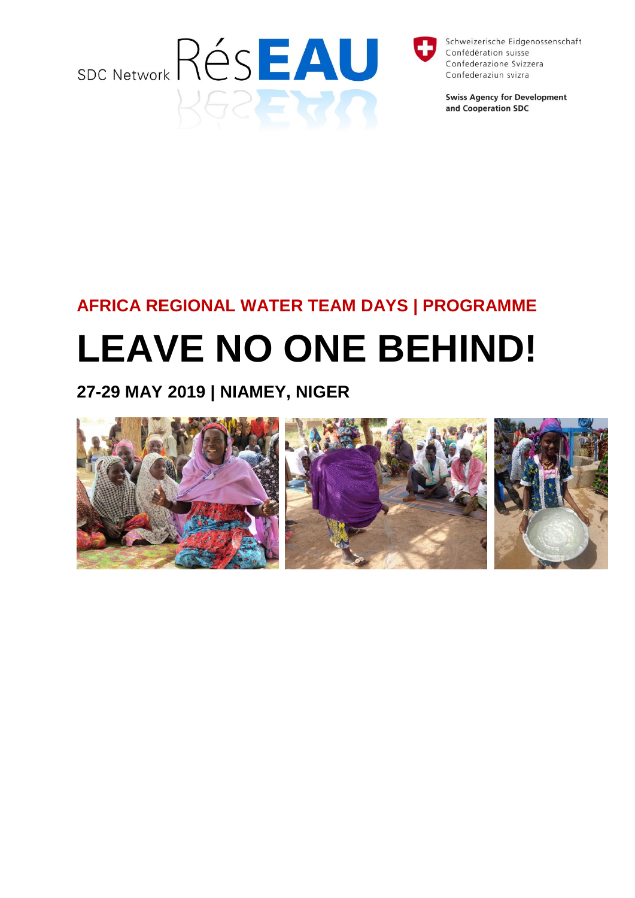



Schweizerische Eidgenossenschaft Confédération suisse Confederazione Svizzera Confederaziun svizra

**Swiss Agency for Development** and Cooperation SDC

# **AFRICA REGIONAL WATER TEAM DAYS | PROGRAMME**

# **LEAVE NO ONE BEHIND!**

**27-29 MAY 2019 | NIAMEY, NIGER**

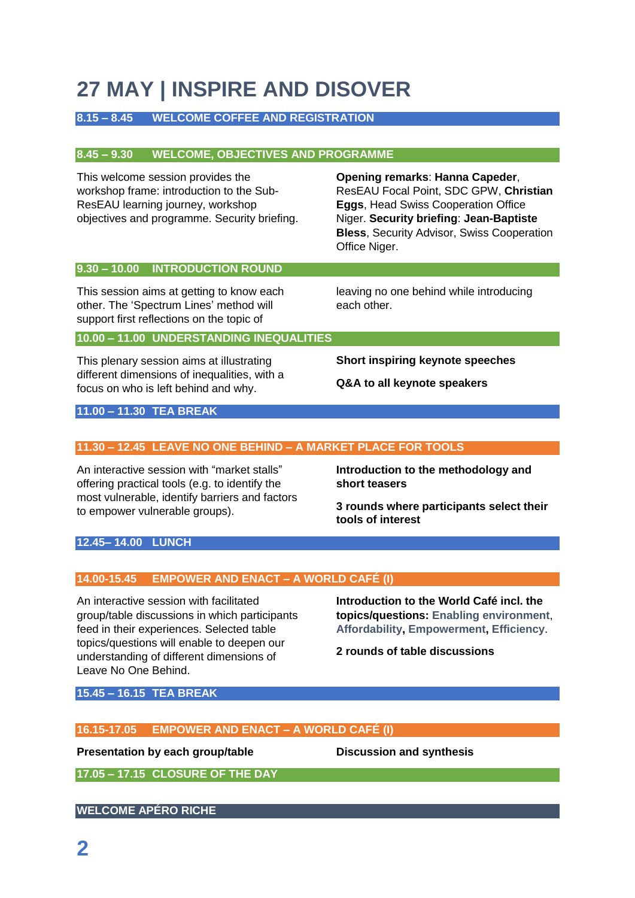# **27 MAY | INSPIRE AND DISOVER**

# **8.15 – 8.45 WELCOME COFFEE AND REGISTRATION**

# **8.45 – 9.30 WELCOME, OBJECTIVES AND PROGRAMME**

This welcome session provides the workshop frame: introduction to the Sub-ResEAU learning journey, workshop objectives and programme. Security briefing. **Opening remarks**: **Hanna Capeder**, ResEAU Focal Point, SDC GPW, **Christian Eggs**, Head Swiss Cooperation Office Niger. **Security briefing**: **Jean-Baptiste Bless**, Security Advisor, Swiss Cooperation Office Niger.

# **9.30 – 10.00 INTRODUCTION ROUND**

This session aims at getting to know each other. The 'Spectrum Lines' method will support first reflections on the topic of

leaving no one behind while introducing each other.

# **10.00 – 11.00 UNDERSTANDING INEQUALITIES**

This plenary session aims at illustrating different dimensions of inequalities, with a focus on who is left behind and why.

**Short inspiring keynote speeches**

**Q&A to all keynote speakers**

# **11.00 – 11.30 TEA BREAK**

# **11.30 – 12.45 LEAVE NO ONE BEHIND – A MARKET PLACE FOR TOOLS**

An interactive session with "market stalls" offering practical tools (e.g. to identify the most vulnerable, identify barriers and factors to empower vulnerable groups).

**Introduction to the methodology and short teasers**

**3 rounds where participants select their tools of interest**

# **12.45– 14.00 LUNCH**

# **14.00-15.45 EMPOWER AND ENACT – A WORLD CAFÉ (I)**

An interactive session with facilitated group/table discussions in which participants feed in their experiences. Selected table topics/questions will enable to deepen our understanding of different dimensions of Leave No One Behind.

**Introduction to the World Café incl. the topics/questions: Enabling environment**, **Affordability, Empowerment, Efficiency**.

**2 rounds of table discussions**

**15.45 – 16.15 TEA BREAK**

# **16.15-17.05 EMPOWER AND ENACT – A WORLD CAFÉ (I)**

#### **Presentation by each group/table Discussion and synthesis**

**17.05 – 17.15 CLOSURE OF THE DAY**

# **WELCOME APÉRO RICHE**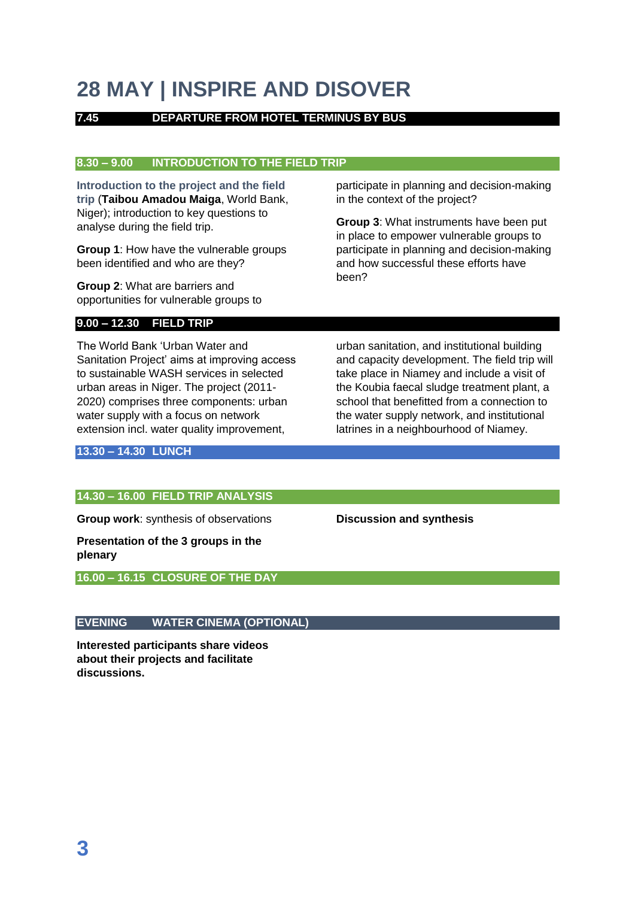# **28 MAY | INSPIRE AND DISOVER**

# **7.45 DEPARTURE FROM HOTEL TERMINUS BY BUS**

#### **8.30 – 9.00 INTRODUCTION TO THE FIELD TRIP**

**Introduction to the project and the field trip** (**Taibou Amadou Maiga**, World Bank, Niger); introduction to key questions to analyse during the field trip.

**Group 1**: How have the vulnerable groups been identified and who are they?

**Group 2**: What are barriers and opportunities for vulnerable groups to

# **9.00 – 12.30 FIELD TRIP**

The World Bank 'Urban Water and Sanitation Project' aims at improving access to sustainable WASH services in selected urban areas in Niger. The project (2011- 2020) comprises three components: urban water supply with a focus on network extension incl. water quality improvement,

participate in planning and decision-making in the context of the project?

**Group 3**: What instruments have been put in place to empower vulnerable groups to participate in planning and decision-making and how successful these efforts have been?

urban sanitation, and institutional building and capacity development. The field trip will take place in Niamey and include a visit of the Koubia faecal sludge treatment plant, a school that benefitted from a connection to the water supply network, and institutional latrines in a neighbourhood of Niamey.

#### **13.30 – 14.30 LUNCH**

#### **14.30 – 16.00 FIELD TRIP ANALYSIS**

**Group work**: synthesis of observations

**Presentation of the 3 groups in the plenary**

**16.00 – 16.15 CLOSURE OF THE DAY**

# **EVENING WATER CINEMA (OPTIONAL)**

**Interested participants share videos about their projects and facilitate discussions.**

**Discussion and synthesis**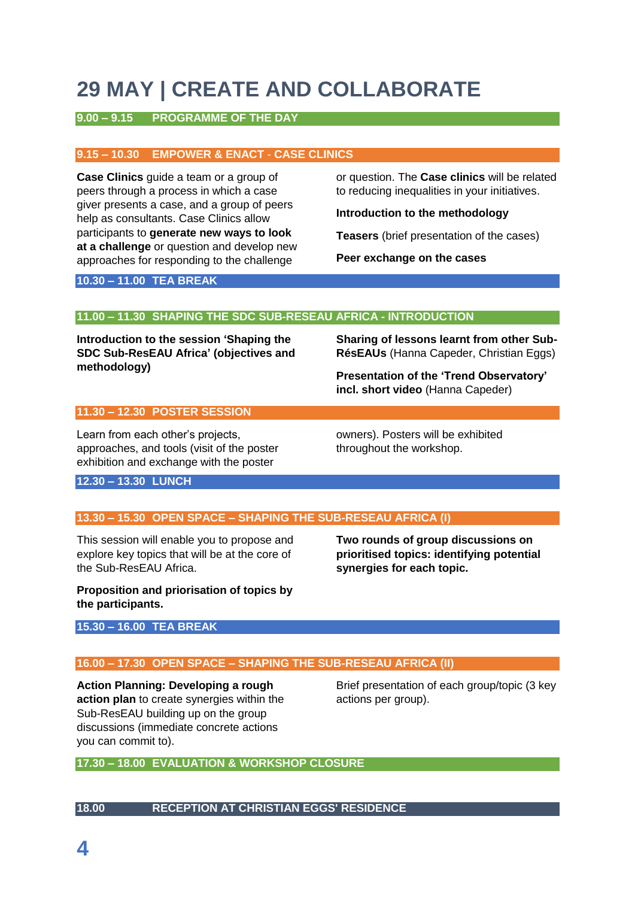# **29 MAY | CREATE AND COLLABORATE**

# **9.00 – 9.15 PROGRAMME OF THE DAY**

#### **9.15 – 10.30 EMPOWER & ENACT** - **CASE CLINICS**

**Case Clinics** guide a team or a group of peers through a process in which a case giver presents a case, and a group of peers help as consultants. Case Clinics allow participants to **generate new ways to look at a challenge** or question and develop new approaches for responding to the challenge

or question. The **Case clinics** will be related to reducing inequalities in your initiatives.

**Introduction to the methodology**

**Teasers** (brief presentation of the cases)

**Peer exchange on the cases**

#### **10.30 – 11.00 TEA BREAK**

# **11.00 – 11.30 SHAPING THE SDC SUB-RESEAU AFRICA - INTRODUCTION**

**Introduction to the session 'Shaping the SDC Sub-ResEAU Africa' (objectives and methodology)**

**Sharing of lessons learnt from other Sub-RésEAUs** (Hanna Capeder, Christian Eggs)

**Presentation of the 'Trend Observatory' incl. short video** (Hanna Capeder)

#### **11.30 – 12.30 POSTER SESSION**

Learn from each other's projects, approaches, and tools (visit of the poster exhibition and exchange with the poster

owners). Posters will be exhibited throughout the workshop.

**12.30 – 13.30 LUNCH**

# **13.30 – 15.30 OPEN SPACE – SHAPING THE SUB-RESEAU AFRICA (I)**

This session will enable you to propose and explore key topics that will be at the core of the Sub-ResEAU Africa.

**Two rounds of group discussions on prioritised topics: identifying potential synergies for each topic.**

**Proposition and priorisation of topics by the participants.** 

# **15.30 – 16.00 TEA BREAK**

# **16.00 – 17.30 OPEN SPACE – SHAPING THE SUB-RESEAU AFRICA (II)**

**Action Planning: Developing a rough action plan** to create synergies within the Sub-ResEAU building up on the group discussions (immediate concrete actions you can commit to).

Brief presentation of each group/topic (3 key actions per group).

**17.30 – 18.00 EVALUATION & WORKSHOP CLOSURE**

#### **18.00 RECEPTION AT CHRISTIAN EGGS' RESIDENCE**